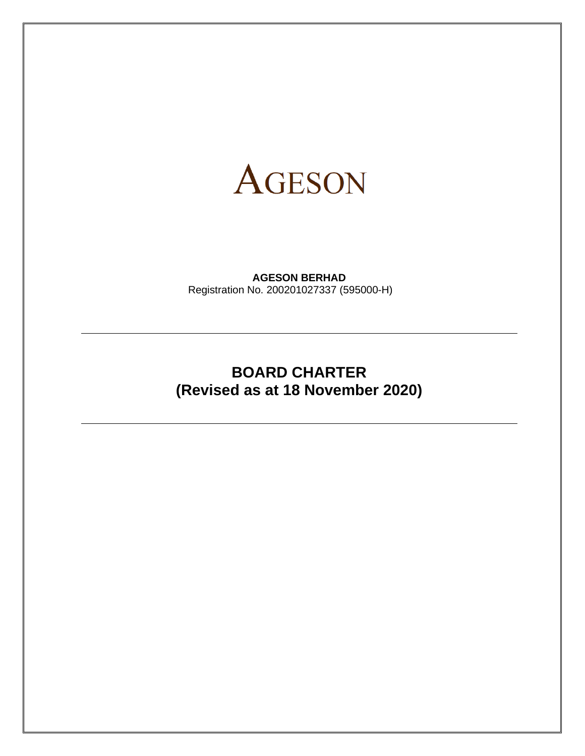

**AGESON BERHAD** Registration No. 200201027337 (595000-H)

# **BOARD CHARTER (Revised as at 18 November 2020)**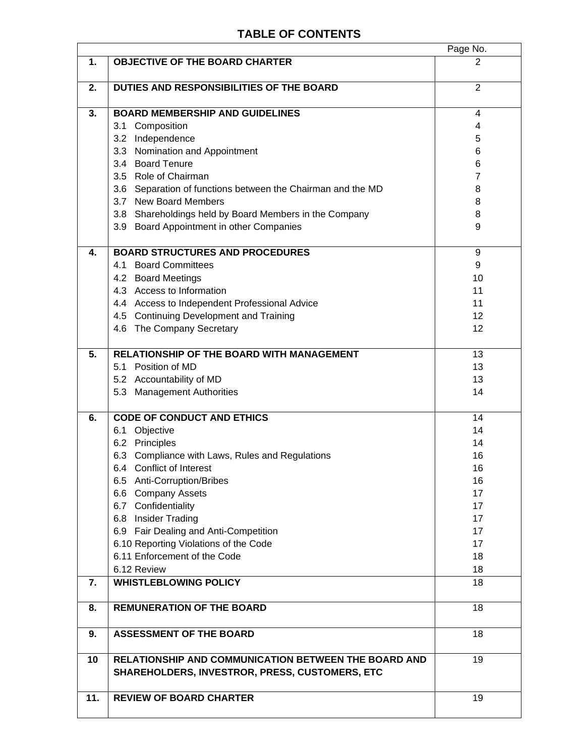# **TABLE OF CONTENTS**

| 1.<br><b>OBJECTIVE OF THE BOARD CHARTER</b><br>2<br>$\overline{2}$<br>DUTIES AND RESPONSIBILITIES OF THE BOARD<br>2.<br>3.<br><b>BOARD MEMBERSHIP AND GUIDELINES</b><br>4<br>3.1 Composition<br>4<br>3.2 Independence<br>5<br>3.3 Nomination and Appointment<br>6<br>3.4 Board Tenure<br>6<br>3.5 Role of Chairman<br>$\overline{7}$<br>3.6 Separation of functions between the Chairman and the MD<br>8<br>3.7 New Board Members<br>8<br>3.8 Shareholdings held by Board Members in the Company<br>8<br>3.9 Board Appointment in other Companies<br>9<br><b>BOARD STRUCTURES AND PROCEDURES</b><br>4.<br>9<br>4.1 Board Committees<br>9<br>4.2 Board Meetings<br>10<br>4.3 Access to Information<br>11<br>4.4 Access to Independent Professional Advice<br>11<br>12<br>4.5 Continuing Development and Training<br>4.6 The Company Secretary<br>12<br>5.<br>RELATIONSHIP OF THE BOARD WITH MANAGEMENT<br>13<br>5.1 Position of MD<br>13<br>5.2 Accountability of MD<br>13<br>5.3 Management Authorities<br>14<br><b>CODE OF CONDUCT AND ETHICS</b><br>6.<br>14<br>6.1 Objective<br>14<br>6.2 Principles<br>14<br>6.3 Compliance with Laws, Rules and Regulations<br>16<br>6.4 Conflict of Interest<br>16<br>6.5 Anti-Corruption/Bribes<br>16<br>17<br>6.6 Company Assets<br>6.7 Confidentiality<br>17<br>6.8 Insider Trading<br>17<br>6.9 Fair Dealing and Anti-Competition<br>17<br>6.10 Reporting Violations of the Code<br>17<br>6.11 Enforcement of the Code<br>18<br>6.12 Review<br>18<br><b>WHISTLEBLOWING POLICY</b><br>18<br>7.<br>18<br><b>REMUNERATION OF THE BOARD</b><br>8.<br><b>ASSESSMENT OF THE BOARD</b><br>18<br>9.<br>RELATIONSHIP AND COMMUNICATION BETWEEN THE BOARD AND<br>10<br>19<br>SHAREHOLDERS, INVESTROR, PRESS, CUSTOMERS, ETC<br>11.<br><b>REVIEW OF BOARD CHARTER</b><br>19 |  | Page No. |
|------------------------------------------------------------------------------------------------------------------------------------------------------------------------------------------------------------------------------------------------------------------------------------------------------------------------------------------------------------------------------------------------------------------------------------------------------------------------------------------------------------------------------------------------------------------------------------------------------------------------------------------------------------------------------------------------------------------------------------------------------------------------------------------------------------------------------------------------------------------------------------------------------------------------------------------------------------------------------------------------------------------------------------------------------------------------------------------------------------------------------------------------------------------------------------------------------------------------------------------------------------------------------------------------------------------------------------------------------------------------------------------------------------------------------------------------------------------------------------------------------------------------------------------------------------------------------------------------------------------------------------------------------------------------------------------------------------------------------------------------------------------------------------------------------------|--|----------|
|                                                                                                                                                                                                                                                                                                                                                                                                                                                                                                                                                                                                                                                                                                                                                                                                                                                                                                                                                                                                                                                                                                                                                                                                                                                                                                                                                                                                                                                                                                                                                                                                                                                                                                                                                                                                            |  |          |
|                                                                                                                                                                                                                                                                                                                                                                                                                                                                                                                                                                                                                                                                                                                                                                                                                                                                                                                                                                                                                                                                                                                                                                                                                                                                                                                                                                                                                                                                                                                                                                                                                                                                                                                                                                                                            |  |          |
|                                                                                                                                                                                                                                                                                                                                                                                                                                                                                                                                                                                                                                                                                                                                                                                                                                                                                                                                                                                                                                                                                                                                                                                                                                                                                                                                                                                                                                                                                                                                                                                                                                                                                                                                                                                                            |  |          |
|                                                                                                                                                                                                                                                                                                                                                                                                                                                                                                                                                                                                                                                                                                                                                                                                                                                                                                                                                                                                                                                                                                                                                                                                                                                                                                                                                                                                                                                                                                                                                                                                                                                                                                                                                                                                            |  |          |
|                                                                                                                                                                                                                                                                                                                                                                                                                                                                                                                                                                                                                                                                                                                                                                                                                                                                                                                                                                                                                                                                                                                                                                                                                                                                                                                                                                                                                                                                                                                                                                                                                                                                                                                                                                                                            |  |          |
|                                                                                                                                                                                                                                                                                                                                                                                                                                                                                                                                                                                                                                                                                                                                                                                                                                                                                                                                                                                                                                                                                                                                                                                                                                                                                                                                                                                                                                                                                                                                                                                                                                                                                                                                                                                                            |  |          |
|                                                                                                                                                                                                                                                                                                                                                                                                                                                                                                                                                                                                                                                                                                                                                                                                                                                                                                                                                                                                                                                                                                                                                                                                                                                                                                                                                                                                                                                                                                                                                                                                                                                                                                                                                                                                            |  |          |
|                                                                                                                                                                                                                                                                                                                                                                                                                                                                                                                                                                                                                                                                                                                                                                                                                                                                                                                                                                                                                                                                                                                                                                                                                                                                                                                                                                                                                                                                                                                                                                                                                                                                                                                                                                                                            |  |          |
|                                                                                                                                                                                                                                                                                                                                                                                                                                                                                                                                                                                                                                                                                                                                                                                                                                                                                                                                                                                                                                                                                                                                                                                                                                                                                                                                                                                                                                                                                                                                                                                                                                                                                                                                                                                                            |  |          |
|                                                                                                                                                                                                                                                                                                                                                                                                                                                                                                                                                                                                                                                                                                                                                                                                                                                                                                                                                                                                                                                                                                                                                                                                                                                                                                                                                                                                                                                                                                                                                                                                                                                                                                                                                                                                            |  |          |
|                                                                                                                                                                                                                                                                                                                                                                                                                                                                                                                                                                                                                                                                                                                                                                                                                                                                                                                                                                                                                                                                                                                                                                                                                                                                                                                                                                                                                                                                                                                                                                                                                                                                                                                                                                                                            |  |          |
|                                                                                                                                                                                                                                                                                                                                                                                                                                                                                                                                                                                                                                                                                                                                                                                                                                                                                                                                                                                                                                                                                                                                                                                                                                                                                                                                                                                                                                                                                                                                                                                                                                                                                                                                                                                                            |  |          |
|                                                                                                                                                                                                                                                                                                                                                                                                                                                                                                                                                                                                                                                                                                                                                                                                                                                                                                                                                                                                                                                                                                                                                                                                                                                                                                                                                                                                                                                                                                                                                                                                                                                                                                                                                                                                            |  |          |
|                                                                                                                                                                                                                                                                                                                                                                                                                                                                                                                                                                                                                                                                                                                                                                                                                                                                                                                                                                                                                                                                                                                                                                                                                                                                                                                                                                                                                                                                                                                                                                                                                                                                                                                                                                                                            |  |          |
|                                                                                                                                                                                                                                                                                                                                                                                                                                                                                                                                                                                                                                                                                                                                                                                                                                                                                                                                                                                                                                                                                                                                                                                                                                                                                                                                                                                                                                                                                                                                                                                                                                                                                                                                                                                                            |  |          |
|                                                                                                                                                                                                                                                                                                                                                                                                                                                                                                                                                                                                                                                                                                                                                                                                                                                                                                                                                                                                                                                                                                                                                                                                                                                                                                                                                                                                                                                                                                                                                                                                                                                                                                                                                                                                            |  |          |
|                                                                                                                                                                                                                                                                                                                                                                                                                                                                                                                                                                                                                                                                                                                                                                                                                                                                                                                                                                                                                                                                                                                                                                                                                                                                                                                                                                                                                                                                                                                                                                                                                                                                                                                                                                                                            |  |          |
|                                                                                                                                                                                                                                                                                                                                                                                                                                                                                                                                                                                                                                                                                                                                                                                                                                                                                                                                                                                                                                                                                                                                                                                                                                                                                                                                                                                                                                                                                                                                                                                                                                                                                                                                                                                                            |  |          |
|                                                                                                                                                                                                                                                                                                                                                                                                                                                                                                                                                                                                                                                                                                                                                                                                                                                                                                                                                                                                                                                                                                                                                                                                                                                                                                                                                                                                                                                                                                                                                                                                                                                                                                                                                                                                            |  |          |
|                                                                                                                                                                                                                                                                                                                                                                                                                                                                                                                                                                                                                                                                                                                                                                                                                                                                                                                                                                                                                                                                                                                                                                                                                                                                                                                                                                                                                                                                                                                                                                                                                                                                                                                                                                                                            |  |          |
|                                                                                                                                                                                                                                                                                                                                                                                                                                                                                                                                                                                                                                                                                                                                                                                                                                                                                                                                                                                                                                                                                                                                                                                                                                                                                                                                                                                                                                                                                                                                                                                                                                                                                                                                                                                                            |  |          |
|                                                                                                                                                                                                                                                                                                                                                                                                                                                                                                                                                                                                                                                                                                                                                                                                                                                                                                                                                                                                                                                                                                                                                                                                                                                                                                                                                                                                                                                                                                                                                                                                                                                                                                                                                                                                            |  |          |
|                                                                                                                                                                                                                                                                                                                                                                                                                                                                                                                                                                                                                                                                                                                                                                                                                                                                                                                                                                                                                                                                                                                                                                                                                                                                                                                                                                                                                                                                                                                                                                                                                                                                                                                                                                                                            |  |          |
|                                                                                                                                                                                                                                                                                                                                                                                                                                                                                                                                                                                                                                                                                                                                                                                                                                                                                                                                                                                                                                                                                                                                                                                                                                                                                                                                                                                                                                                                                                                                                                                                                                                                                                                                                                                                            |  |          |
|                                                                                                                                                                                                                                                                                                                                                                                                                                                                                                                                                                                                                                                                                                                                                                                                                                                                                                                                                                                                                                                                                                                                                                                                                                                                                                                                                                                                                                                                                                                                                                                                                                                                                                                                                                                                            |  |          |
|                                                                                                                                                                                                                                                                                                                                                                                                                                                                                                                                                                                                                                                                                                                                                                                                                                                                                                                                                                                                                                                                                                                                                                                                                                                                                                                                                                                                                                                                                                                                                                                                                                                                                                                                                                                                            |  |          |
|                                                                                                                                                                                                                                                                                                                                                                                                                                                                                                                                                                                                                                                                                                                                                                                                                                                                                                                                                                                                                                                                                                                                                                                                                                                                                                                                                                                                                                                                                                                                                                                                                                                                                                                                                                                                            |  |          |
|                                                                                                                                                                                                                                                                                                                                                                                                                                                                                                                                                                                                                                                                                                                                                                                                                                                                                                                                                                                                                                                                                                                                                                                                                                                                                                                                                                                                                                                                                                                                                                                                                                                                                                                                                                                                            |  |          |
|                                                                                                                                                                                                                                                                                                                                                                                                                                                                                                                                                                                                                                                                                                                                                                                                                                                                                                                                                                                                                                                                                                                                                                                                                                                                                                                                                                                                                                                                                                                                                                                                                                                                                                                                                                                                            |  |          |
|                                                                                                                                                                                                                                                                                                                                                                                                                                                                                                                                                                                                                                                                                                                                                                                                                                                                                                                                                                                                                                                                                                                                                                                                                                                                                                                                                                                                                                                                                                                                                                                                                                                                                                                                                                                                            |  |          |
|                                                                                                                                                                                                                                                                                                                                                                                                                                                                                                                                                                                                                                                                                                                                                                                                                                                                                                                                                                                                                                                                                                                                                                                                                                                                                                                                                                                                                                                                                                                                                                                                                                                                                                                                                                                                            |  |          |
|                                                                                                                                                                                                                                                                                                                                                                                                                                                                                                                                                                                                                                                                                                                                                                                                                                                                                                                                                                                                                                                                                                                                                                                                                                                                                                                                                                                                                                                                                                                                                                                                                                                                                                                                                                                                            |  |          |
|                                                                                                                                                                                                                                                                                                                                                                                                                                                                                                                                                                                                                                                                                                                                                                                                                                                                                                                                                                                                                                                                                                                                                                                                                                                                                                                                                                                                                                                                                                                                                                                                                                                                                                                                                                                                            |  |          |
|                                                                                                                                                                                                                                                                                                                                                                                                                                                                                                                                                                                                                                                                                                                                                                                                                                                                                                                                                                                                                                                                                                                                                                                                                                                                                                                                                                                                                                                                                                                                                                                                                                                                                                                                                                                                            |  |          |
|                                                                                                                                                                                                                                                                                                                                                                                                                                                                                                                                                                                                                                                                                                                                                                                                                                                                                                                                                                                                                                                                                                                                                                                                                                                                                                                                                                                                                                                                                                                                                                                                                                                                                                                                                                                                            |  |          |
|                                                                                                                                                                                                                                                                                                                                                                                                                                                                                                                                                                                                                                                                                                                                                                                                                                                                                                                                                                                                                                                                                                                                                                                                                                                                                                                                                                                                                                                                                                                                                                                                                                                                                                                                                                                                            |  |          |
|                                                                                                                                                                                                                                                                                                                                                                                                                                                                                                                                                                                                                                                                                                                                                                                                                                                                                                                                                                                                                                                                                                                                                                                                                                                                                                                                                                                                                                                                                                                                                                                                                                                                                                                                                                                                            |  |          |
|                                                                                                                                                                                                                                                                                                                                                                                                                                                                                                                                                                                                                                                                                                                                                                                                                                                                                                                                                                                                                                                                                                                                                                                                                                                                                                                                                                                                                                                                                                                                                                                                                                                                                                                                                                                                            |  |          |
|                                                                                                                                                                                                                                                                                                                                                                                                                                                                                                                                                                                                                                                                                                                                                                                                                                                                                                                                                                                                                                                                                                                                                                                                                                                                                                                                                                                                                                                                                                                                                                                                                                                                                                                                                                                                            |  |          |
|                                                                                                                                                                                                                                                                                                                                                                                                                                                                                                                                                                                                                                                                                                                                                                                                                                                                                                                                                                                                                                                                                                                                                                                                                                                                                                                                                                                                                                                                                                                                                                                                                                                                                                                                                                                                            |  |          |
|                                                                                                                                                                                                                                                                                                                                                                                                                                                                                                                                                                                                                                                                                                                                                                                                                                                                                                                                                                                                                                                                                                                                                                                                                                                                                                                                                                                                                                                                                                                                                                                                                                                                                                                                                                                                            |  |          |
|                                                                                                                                                                                                                                                                                                                                                                                                                                                                                                                                                                                                                                                                                                                                                                                                                                                                                                                                                                                                                                                                                                                                                                                                                                                                                                                                                                                                                                                                                                                                                                                                                                                                                                                                                                                                            |  |          |
|                                                                                                                                                                                                                                                                                                                                                                                                                                                                                                                                                                                                                                                                                                                                                                                                                                                                                                                                                                                                                                                                                                                                                                                                                                                                                                                                                                                                                                                                                                                                                                                                                                                                                                                                                                                                            |  |          |
|                                                                                                                                                                                                                                                                                                                                                                                                                                                                                                                                                                                                                                                                                                                                                                                                                                                                                                                                                                                                                                                                                                                                                                                                                                                                                                                                                                                                                                                                                                                                                                                                                                                                                                                                                                                                            |  |          |
|                                                                                                                                                                                                                                                                                                                                                                                                                                                                                                                                                                                                                                                                                                                                                                                                                                                                                                                                                                                                                                                                                                                                                                                                                                                                                                                                                                                                                                                                                                                                                                                                                                                                                                                                                                                                            |  |          |
|                                                                                                                                                                                                                                                                                                                                                                                                                                                                                                                                                                                                                                                                                                                                                                                                                                                                                                                                                                                                                                                                                                                                                                                                                                                                                                                                                                                                                                                                                                                                                                                                                                                                                                                                                                                                            |  |          |
|                                                                                                                                                                                                                                                                                                                                                                                                                                                                                                                                                                                                                                                                                                                                                                                                                                                                                                                                                                                                                                                                                                                                                                                                                                                                                                                                                                                                                                                                                                                                                                                                                                                                                                                                                                                                            |  |          |
|                                                                                                                                                                                                                                                                                                                                                                                                                                                                                                                                                                                                                                                                                                                                                                                                                                                                                                                                                                                                                                                                                                                                                                                                                                                                                                                                                                                                                                                                                                                                                                                                                                                                                                                                                                                                            |  |          |
|                                                                                                                                                                                                                                                                                                                                                                                                                                                                                                                                                                                                                                                                                                                                                                                                                                                                                                                                                                                                                                                                                                                                                                                                                                                                                                                                                                                                                                                                                                                                                                                                                                                                                                                                                                                                            |  |          |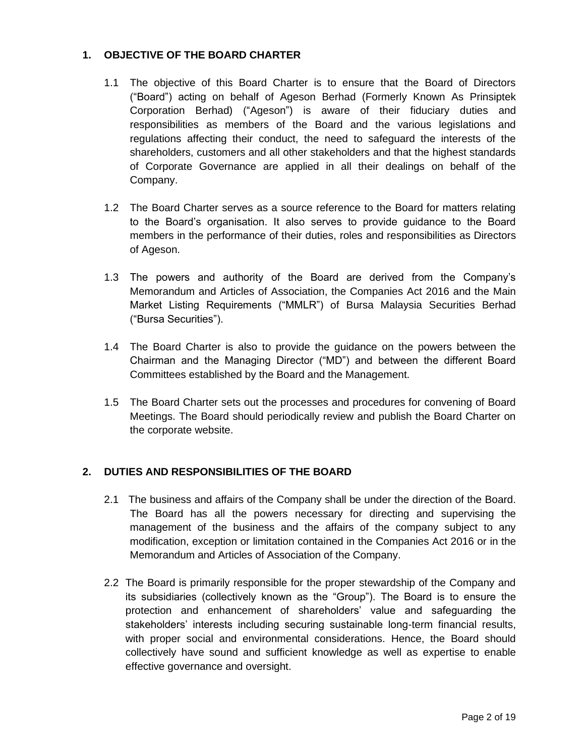# **1. OBJECTIVE OF THE BOARD CHARTER**

- 1.1 The objective of this Board Charter is to ensure that the Board of Directors ("Board") acting on behalf of Ageson Berhad (Formerly Known As Prinsiptek Corporation Berhad) ("Ageson") is aware of their fiduciary duties and responsibilities as members of the Board and the various legislations and regulations affecting their conduct, the need to safeguard the interests of the shareholders, customers and all other stakeholders and that the highest standards of Corporate Governance are applied in all their dealings on behalf of the Company.
- 1.2 The Board Charter serves as a source reference to the Board for matters relating to the Board's organisation. It also serves to provide guidance to the Board members in the performance of their duties, roles and responsibilities as Directors of Ageson.
- 1.3 The powers and authority of the Board are derived from the Company's Memorandum and Articles of Association, the Companies Act 2016 and the Main Market Listing Requirements ("MMLR") of Bursa Malaysia Securities Berhad ("Bursa Securities").
- 1.4 The Board Charter is also to provide the guidance on the powers between the Chairman and the Managing Director ("MD") and between the different Board Committees established by the Board and the Management.
- 1.5 The Board Charter sets out the processes and procedures for convening of Board Meetings. The Board should periodically review and publish the Board Charter on the corporate website.

#### **2. DUTIES AND RESPONSIBILITIES OF THE BOARD**

- 2.1 The business and affairs of the Company shall be under the direction of the Board. The Board has all the powers necessary for directing and supervising the management of the business and the affairs of the company subject to any modification, exception or limitation contained in the Companies Act 2016 or in the Memorandum and Articles of Association of the Company.
- 2.2 The Board is primarily responsible for the proper stewardship of the Company and its subsidiaries (collectively known as the "Group"). The Board is to ensure the protection and enhancement of shareholders' value and safeguarding the stakeholders' interests including securing sustainable long-term financial results, with proper social and environmental considerations. Hence, the Board should collectively have sound and sufficient knowledge as well as expertise to enable effective governance and oversight.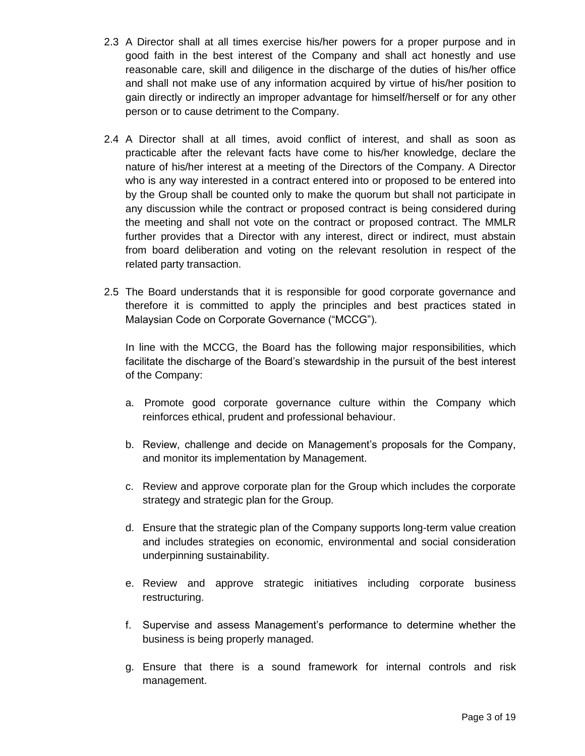- 2.3 A Director shall at all times exercise his/her powers for a proper purpose and in good faith in the best interest of the Company and shall act honestly and use reasonable care, skill and diligence in the discharge of the duties of his/her office and shall not make use of any information acquired by virtue of his/her position to gain directly or indirectly an improper advantage for himself/herself or for any other person or to cause detriment to the Company.
- 2.4 A Director shall at all times, avoid conflict of interest, and shall as soon as practicable after the relevant facts have come to his/her knowledge, declare the nature of his/her interest at a meeting of the Directors of the Company. A Director who is any way interested in a contract entered into or proposed to be entered into by the Group shall be counted only to make the quorum but shall not participate in any discussion while the contract or proposed contract is being considered during the meeting and shall not vote on the contract or proposed contract. The MMLR further provides that a Director with any interest, direct or indirect, must abstain from board deliberation and voting on the relevant resolution in respect of the related party transaction.
- 2.5 The Board understands that it is responsible for good corporate governance and therefore it is committed to apply the principles and best practices stated in Malaysian Code on Corporate Governance ("MCCG").

In line with the MCCG, the Board has the following major responsibilities, which facilitate the discharge of the Board's stewardship in the pursuit of the best interest of the Company:

- a. Promote good corporate governance culture within the Company which reinforces ethical, prudent and professional behaviour.
- b. Review, challenge and decide on Management's proposals for the Company, and monitor its implementation by Management.
- c. Review and approve corporate plan for the Group which includes the corporate strategy and strategic plan for the Group.
- d. Ensure that the strategic plan of the Company supports long-term value creation and includes strategies on economic, environmental and social consideration underpinning sustainability.
- e. Review and approve strategic initiatives including corporate business restructuring.
- f. Supervise and assess Management's performance to determine whether the business is being properly managed.
- g. Ensure that there is a sound framework for internal controls and risk management.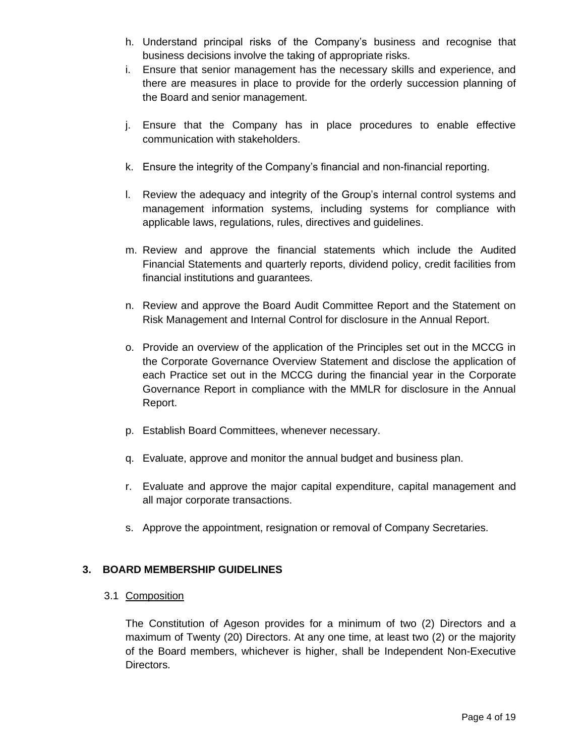- h. Understand principal risks of the Company's business and recognise that business decisions involve the taking of appropriate risks.
- i. Ensure that senior management has the necessary skills and experience, and there are measures in place to provide for the orderly succession planning of the Board and senior management.
- j. Ensure that the Company has in place procedures to enable effective communication with stakeholders.
- k. Ensure the integrity of the Company's financial and non-financial reporting.
- l. Review the adequacy and integrity of the Group's internal control systems and management information systems, including systems for compliance with applicable laws, regulations, rules, directives and guidelines.
- m. Review and approve the financial statements which include the Audited Financial Statements and quarterly reports, dividend policy, credit facilities from financial institutions and guarantees.
- n. Review and approve the Board Audit Committee Report and the Statement on Risk Management and Internal Control for disclosure in the Annual Report.
- o. Provide an overview of the application of the Principles set out in the MCCG in the Corporate Governance Overview Statement and disclose the application of each Practice set out in the MCCG during the financial year in the Corporate Governance Report in compliance with the MMLR for disclosure in the Annual Report.
- p. Establish Board Committees, whenever necessary.
- q. Evaluate, approve and monitor the annual budget and business plan.
- r. Evaluate and approve the major capital expenditure, capital management and all major corporate transactions.
- s. Approve the appointment, resignation or removal of Company Secretaries.

#### **3. BOARD MEMBERSHIP GUIDELINES**

3.1 Composition

The Constitution of Ageson provides for a minimum of two (2) Directors and a maximum of Twenty (20) Directors. At any one time, at least two (2) or the majority of the Board members, whichever is higher, shall be Independent Non-Executive Directors.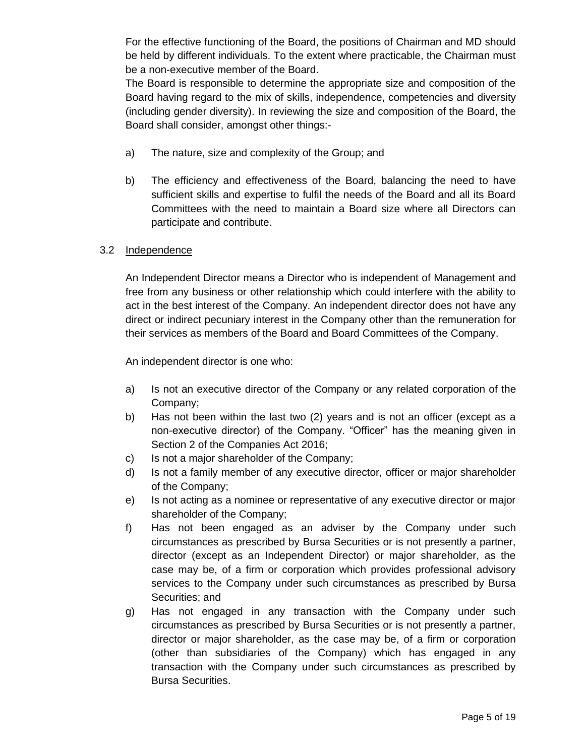For the effective functioning of the Board, the positions of Chairman and MD should be held by different individuals. To the extent where practicable, the Chairman must be a non-executive member of the Board.

The Board is responsible to determine the appropriate size and composition of the Board having regard to the mix of skills, independence, competencies and diversity (including gender diversity). In reviewing the size and composition of the Board, the Board shall consider, amongst other things:-

- a) The nature, size and complexity of the Group; and
- b) The efficiency and effectiveness of the Board, balancing the need to have sufficient skills and expertise to fulfil the needs of the Board and all its Board Committees with the need to maintain a Board size where all Directors can participate and contribute.

#### 3.2 Independence

An Independent Director means a Director who is independent of Management and free from any business or other relationship which could interfere with the ability to act in the best interest of the Company. An independent director does not have any direct or indirect pecuniary interest in the Company other than the remuneration for their services as members of the Board and Board Committees of the Company.

An independent director is one who:

- a) Is not an executive director of the Company or any related corporation of the Company;
- b) Has not been within the last two (2) years and is not an officer (except as a non-executive director) of the Company. "Officer" has the meaning given in Section 2 of the Companies Act 2016;
- c) Is not a major shareholder of the Company;
- d) Is not a family member of any executive director, officer or major shareholder of the Company;
- e) Is not acting as a nominee or representative of any executive director or major shareholder of the Company;
- f) Has not been engaged as an adviser by the Company under such circumstances as prescribed by Bursa Securities or is not presently a partner, director (except as an Independent Director) or major shareholder, as the case may be, of a firm or corporation which provides professional advisory services to the Company under such circumstances as prescribed by Bursa Securities; and
- g) Has not engaged in any transaction with the Company under such circumstances as prescribed by Bursa Securities or is not presently a partner, director or major shareholder, as the case may be, of a firm or corporation (other than subsidiaries of the Company) which has engaged in any transaction with the Company under such circumstances as prescribed by Bursa Securities.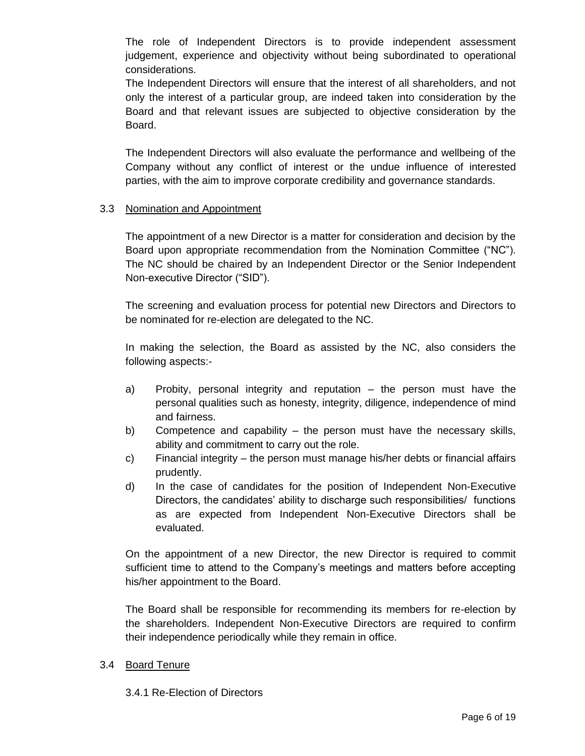The role of Independent Directors is to provide independent assessment judgement, experience and objectivity without being subordinated to operational considerations.

The Independent Directors will ensure that the interest of all shareholders, and not only the interest of a particular group, are indeed taken into consideration by the Board and that relevant issues are subjected to objective consideration by the Board.

The Independent Directors will also evaluate the performance and wellbeing of the Company without any conflict of interest or the undue influence of interested parties, with the aim to improve corporate credibility and governance standards.

#### 3.3 Nomination and Appointment

The appointment of a new Director is a matter for consideration and decision by the Board upon appropriate recommendation from the Nomination Committee ("NC"). The NC should be chaired by an Independent Director or the Senior Independent Non-executive Director ("SID").

The screening and evaluation process for potential new Directors and Directors to be nominated for re-election are delegated to the NC.

In making the selection, the Board as assisted by the NC, also considers the following aspects:-

- a) Probity, personal integrity and reputation the person must have the personal qualities such as honesty, integrity, diligence, independence of mind and fairness.
- b) Competence and capability the person must have the necessary skills, ability and commitment to carry out the role.
- c) Financial integrity the person must manage his/her debts or financial affairs prudently.
- d) In the case of candidates for the position of Independent Non-Executive Directors, the candidates' ability to discharge such responsibilities/ functions as are expected from Independent Non-Executive Directors shall be evaluated.

On the appointment of a new Director, the new Director is required to commit sufficient time to attend to the Company's meetings and matters before accepting his/her appointment to the Board.

The Board shall be responsible for recommending its members for re-election by the shareholders. Independent Non-Executive Directors are required to confirm their independence periodically while they remain in office.

#### 3.4 Board Tenure

3.4.1 Re-Election of Directors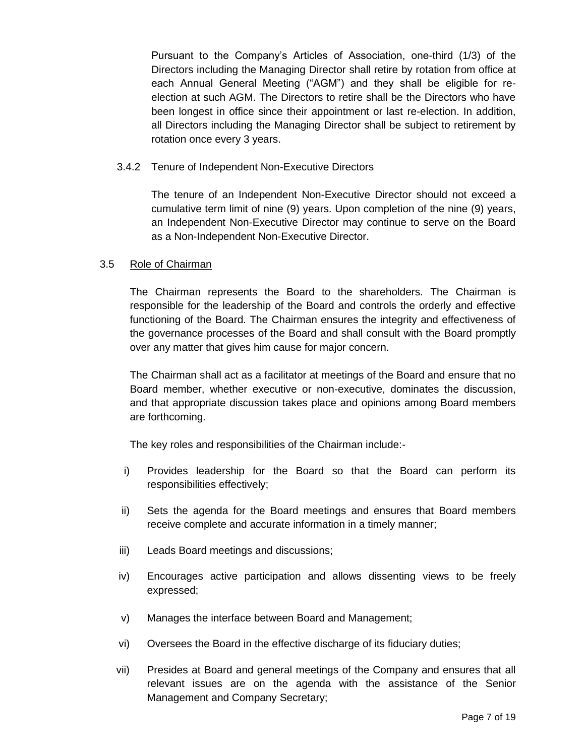Pursuant to the Company's Articles of Association, one-third (1/3) of the Directors including the Managing Director shall retire by rotation from office at each Annual General Meeting ("AGM") and they shall be eligible for reelection at such AGM. The Directors to retire shall be the Directors who have been longest in office since their appointment or last re-election. In addition, all Directors including the Managing Director shall be subject to retirement by rotation once every 3 years.

#### 3.4.2 Tenure of Independent Non-Executive Directors

The tenure of an Independent Non-Executive Director should not exceed a cumulative term limit of nine (9) years. Upon completion of the nine (9) years, an Independent Non-Executive Director may continue to serve on the Board as a Non-Independent Non-Executive Director.

#### 3.5 Role of Chairman

The Chairman represents the Board to the shareholders. The Chairman is responsible for the leadership of the Board and controls the orderly and effective functioning of the Board. The Chairman ensures the integrity and effectiveness of the governance processes of the Board and shall consult with the Board promptly over any matter that gives him cause for major concern.

The Chairman shall act as a facilitator at meetings of the Board and ensure that no Board member, whether executive or non-executive, dominates the discussion, and that appropriate discussion takes place and opinions among Board members are forthcoming.

The key roles and responsibilities of the Chairman include:-

- i) Provides leadership for the Board so that the Board can perform its responsibilities effectively;
- ii) Sets the agenda for the Board meetings and ensures that Board members receive complete and accurate information in a timely manner;
- iii) Leads Board meetings and discussions;
- iv) Encourages active participation and allows dissenting views to be freely expressed;
- v) Manages the interface between Board and Management;
- vi) Oversees the Board in the effective discharge of its fiduciary duties;
- vii) Presides at Board and general meetings of the Company and ensures that all relevant issues are on the agenda with the assistance of the Senior Management and Company Secretary;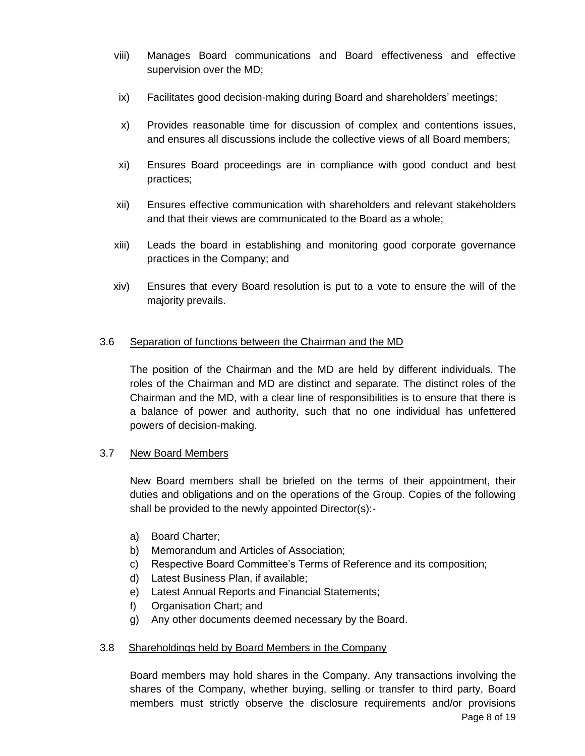- viii) Manages Board communications and Board effectiveness and effective supervision over the MD;
- ix) Facilitates good decision-making during Board and shareholders' meetings;
- x) Provides reasonable time for discussion of complex and contentions issues, and ensures all discussions include the collective views of all Board members;
- xi) Ensures Board proceedings are in compliance with good conduct and best practices;
- xii) Ensures effective communication with shareholders and relevant stakeholders and that their views are communicated to the Board as a whole;
- xiii) Leads the board in establishing and monitoring good corporate governance practices in the Company; and
- xiv) Ensures that every Board resolution is put to a vote to ensure the will of the majority prevails.

#### 3.6 Separation of functions between the Chairman and the MD

The position of the Chairman and the MD are held by different individuals. The roles of the Chairman and MD are distinct and separate. The distinct roles of the Chairman and the MD, with a clear line of responsibilities is to ensure that there is a balance of power and authority, such that no one individual has unfettered powers of decision-making.

#### 3.7 New Board Members

New Board members shall be briefed on the terms of their appointment, their duties and obligations and on the operations of the Group. Copies of the following shall be provided to the newly appointed Director(s):-

- a) Board Charter;
- b) Memorandum and Articles of Association;
- c) Respective Board Committee's Terms of Reference and its composition;
- d) Latest Business Plan, if available;
- e) Latest Annual Reports and Financial Statements;
- f) Organisation Chart; and
- g) Any other documents deemed necessary by the Board.

#### 3.8 Shareholdings held by Board Members in the Company

Page 8 of 19 Board members may hold shares in the Company. Any transactions involving the shares of the Company, whether buying, selling or transfer to third party, Board members must strictly observe the disclosure requirements and/or provisions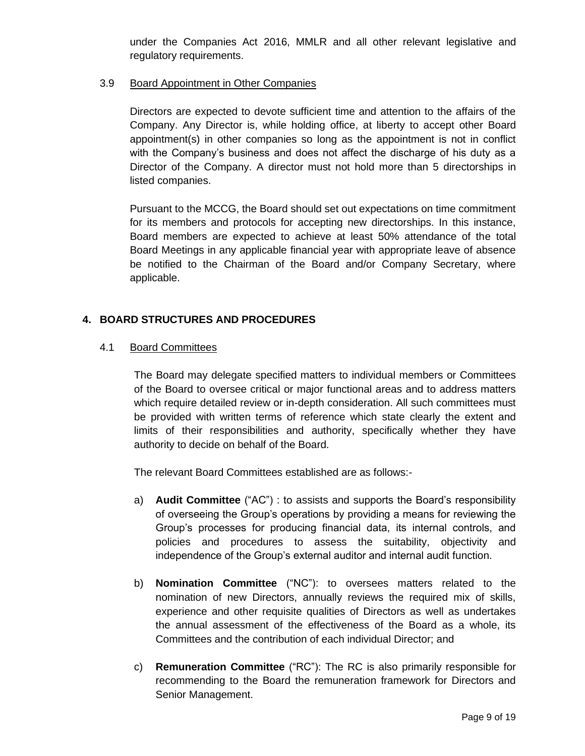under the Companies Act 2016, MMLR and all other relevant legislative and regulatory requirements.

#### 3.9 Board Appointment in Other Companies

Directors are expected to devote sufficient time and attention to the affairs of the Company. Any Director is, while holding office, at liberty to accept other Board appointment(s) in other companies so long as the appointment is not in conflict with the Company's business and does not affect the discharge of his duty as a Director of the Company. A director must not hold more than 5 directorships in listed companies.

Pursuant to the MCCG, the Board should set out expectations on time commitment for its members and protocols for accepting new directorships. In this instance, Board members are expected to achieve at least 50% attendance of the total Board Meetings in any applicable financial year with appropriate leave of absence be notified to the Chairman of the Board and/or Company Secretary, where applicable.

#### **4. BOARD STRUCTURES AND PROCEDURES**

#### 4.1 Board Committees

The Board may delegate specified matters to individual members or Committees of the Board to oversee critical or major functional areas and to address matters which require detailed review or in-depth consideration. All such committees must be provided with written terms of reference which state clearly the extent and limits of their responsibilities and authority, specifically whether they have authority to decide on behalf of the Board.

The relevant Board Committees established are as follows:-

- a) **Audit Committee** ("AC") : to assists and supports the Board's responsibility of overseeing the Group's operations by providing a means for reviewing the Group's processes for producing financial data, its internal controls, and policies and procedures to assess the suitability, objectivity and independence of the Group's external auditor and internal audit function.
- b) **Nomination Committee** ("NC"): to oversees matters related to the nomination of new Directors, annually reviews the required mix of skills, experience and other requisite qualities of Directors as well as undertakes the annual assessment of the effectiveness of the Board as a whole, its Committees and the contribution of each individual Director; and
- c) **Remuneration Committee** ("RC"): The RC is also primarily responsible for recommending to the Board the remuneration framework for Directors and Senior Management.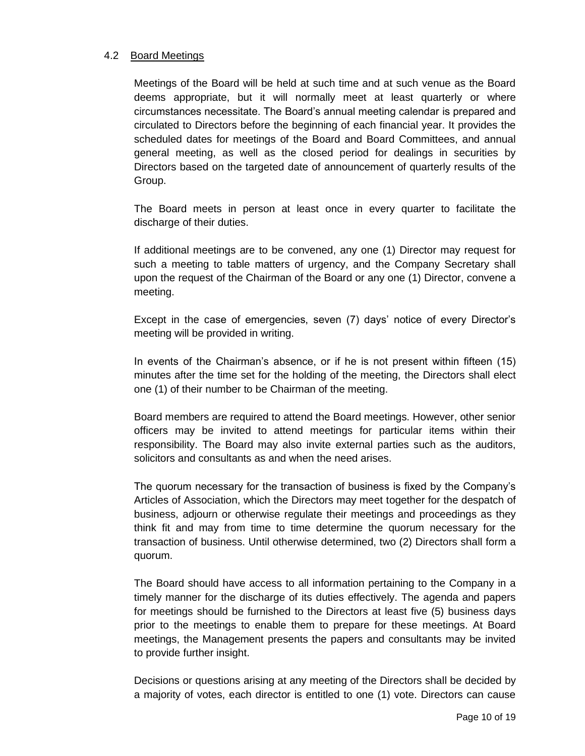#### 4.2 Board Meetings

Meetings of the Board will be held at such time and at such venue as the Board deems appropriate, but it will normally meet at least quarterly or where circumstances necessitate. The Board's annual meeting calendar is prepared and circulated to Directors before the beginning of each financial year. It provides the scheduled dates for meetings of the Board and Board Committees, and annual general meeting, as well as the closed period for dealings in securities by Directors based on the targeted date of announcement of quarterly results of the Group.

The Board meets in person at least once in every quarter to facilitate the discharge of their duties.

If additional meetings are to be convened, any one (1) Director may request for such a meeting to table matters of urgency, and the Company Secretary shall upon the request of the Chairman of the Board or any one (1) Director, convene a meeting.

Except in the case of emergencies, seven (7) days' notice of every Director's meeting will be provided in writing.

In events of the Chairman's absence, or if he is not present within fifteen (15) minutes after the time set for the holding of the meeting, the Directors shall elect one (1) of their number to be Chairman of the meeting.

Board members are required to attend the Board meetings. However, other senior officers may be invited to attend meetings for particular items within their responsibility. The Board may also invite external parties such as the auditors, solicitors and consultants as and when the need arises.

The quorum necessary for the transaction of business is fixed by the Company's Articles of Association, which the Directors may meet together for the despatch of business, adjourn or otherwise regulate their meetings and proceedings as they think fit and may from time to time determine the quorum necessary for the transaction of business. Until otherwise determined, two (2) Directors shall form a quorum.

The Board should have access to all information pertaining to the Company in a timely manner for the discharge of its duties effectively. The agenda and papers for meetings should be furnished to the Directors at least five (5) business days prior to the meetings to enable them to prepare for these meetings. At Board meetings, the Management presents the papers and consultants may be invited to provide further insight.

Decisions or questions arising at any meeting of the Directors shall be decided by a majority of votes, each director is entitled to one (1) vote. Directors can cause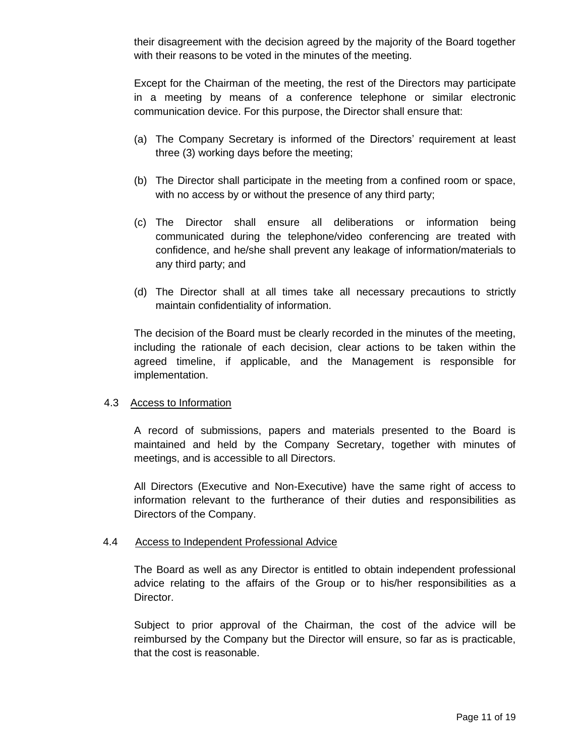their disagreement with the decision agreed by the majority of the Board together with their reasons to be voted in the minutes of the meeting.

Except for the Chairman of the meeting, the rest of the Directors may participate in a meeting by means of a conference telephone or similar electronic communication device. For this purpose, the Director shall ensure that:

- (a) The Company Secretary is informed of the Directors' requirement at least three (3) working days before the meeting;
- (b) The Director shall participate in the meeting from a confined room or space, with no access by or without the presence of any third party;
- (c) The Director shall ensure all deliberations or information being communicated during the telephone/video conferencing are treated with confidence, and he/she shall prevent any leakage of information/materials to any third party; and
- (d) The Director shall at all times take all necessary precautions to strictly maintain confidentiality of information.

The decision of the Board must be clearly recorded in the minutes of the meeting, including the rationale of each decision, clear actions to be taken within the agreed timeline, if applicable, and the Management is responsible for implementation.

#### 4.3 Access to Information

A record of submissions, papers and materials presented to the Board is maintained and held by the Company Secretary, together with minutes of meetings, and is accessible to all Directors.

All Directors (Executive and Non-Executive) have the same right of access to information relevant to the furtherance of their duties and responsibilities as Directors of the Company.

#### 4.4 Access to Independent Professional Advice

The Board as well as any Director is entitled to obtain independent professional advice relating to the affairs of the Group or to his/her responsibilities as a Director.

Subject to prior approval of the Chairman, the cost of the advice will be reimbursed by the Company but the Director will ensure, so far as is practicable, that the cost is reasonable.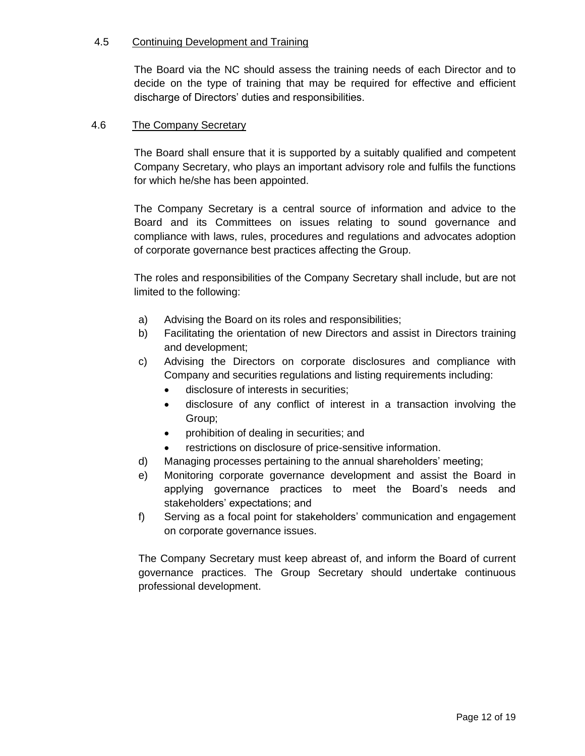#### 4.5 Continuing Development and Training

The Board via the NC should assess the training needs of each Director and to decide on the type of training that may be required for effective and efficient discharge of Directors' duties and responsibilities.

#### 4.6 The Company Secretary

The Board shall ensure that it is supported by a suitably qualified and competent Company Secretary, who plays an important advisory role and fulfils the functions for which he/she has been appointed.

The Company Secretary is a central source of information and advice to the Board and its Committees on issues relating to sound governance and compliance with laws, rules, procedures and regulations and advocates adoption of corporate governance best practices affecting the Group.

The roles and responsibilities of the Company Secretary shall include, but are not limited to the following:

- a) Advising the Board on its roles and responsibilities;
- b) Facilitating the orientation of new Directors and assist in Directors training and development;
- c) Advising the Directors on corporate disclosures and compliance with Company and securities regulations and listing requirements including:
	- disclosure of interests in securities;
	- disclosure of any conflict of interest in a transaction involving the Group;
	- prohibition of dealing in securities; and
	- restrictions on disclosure of price-sensitive information.
- d) Managing processes pertaining to the annual shareholders' meeting;
- e) Monitoring corporate governance development and assist the Board in applying governance practices to meet the Board's needs and stakeholders' expectations; and
- f) Serving as a focal point for stakeholders' communication and engagement on corporate governance issues.

The Company Secretary must keep abreast of, and inform the Board of current governance practices. The Group Secretary should undertake continuous professional development.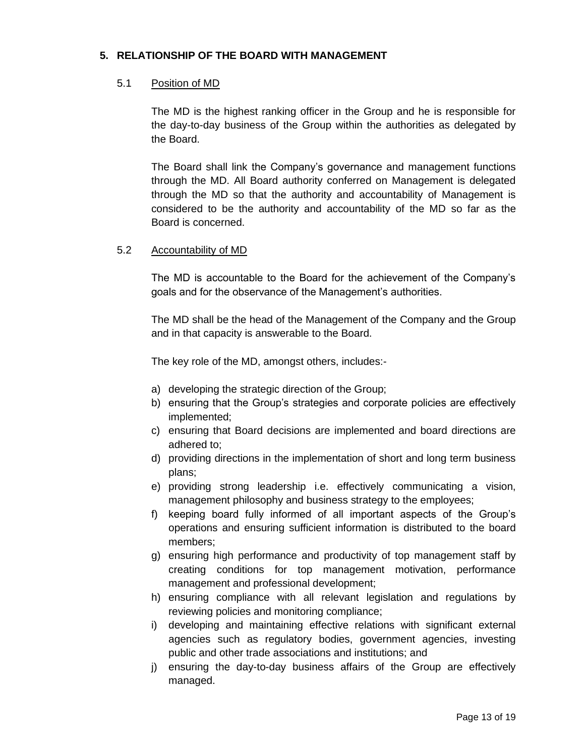#### **5. RELATIONSHIP OF THE BOARD WITH MANAGEMENT**

#### 5.1 Position of MD

The MD is the highest ranking officer in the Group and he is responsible for the day-to-day business of the Group within the authorities as delegated by the Board.

The Board shall link the Company's governance and management functions through the MD. All Board authority conferred on Management is delegated through the MD so that the authority and accountability of Management is considered to be the authority and accountability of the MD so far as the Board is concerned.

#### 5.2 Accountability of MD

The MD is accountable to the Board for the achievement of the Company's goals and for the observance of the Management's authorities.

The MD shall be the head of the Management of the Company and the Group and in that capacity is answerable to the Board.

The key role of the MD, amongst others, includes:-

- a) developing the strategic direction of the Group;
- b) ensuring that the Group's strategies and corporate policies are effectively implemented;
- c) ensuring that Board decisions are implemented and board directions are adhered to;
- d) providing directions in the implementation of short and long term business plans;
- e) providing strong leadership i.e. effectively communicating a vision, management philosophy and business strategy to the employees;
- f) keeping board fully informed of all important aspects of the Group's operations and ensuring sufficient information is distributed to the board members;
- g) ensuring high performance and productivity of top management staff by creating conditions for top management motivation, performance management and professional development;
- h) ensuring compliance with all relevant legislation and regulations by reviewing policies and monitoring compliance;
- i) developing and maintaining effective relations with significant external agencies such as regulatory bodies, government agencies, investing public and other trade associations and institutions; and
- j) ensuring the day-to-day business affairs of the Group are effectively managed.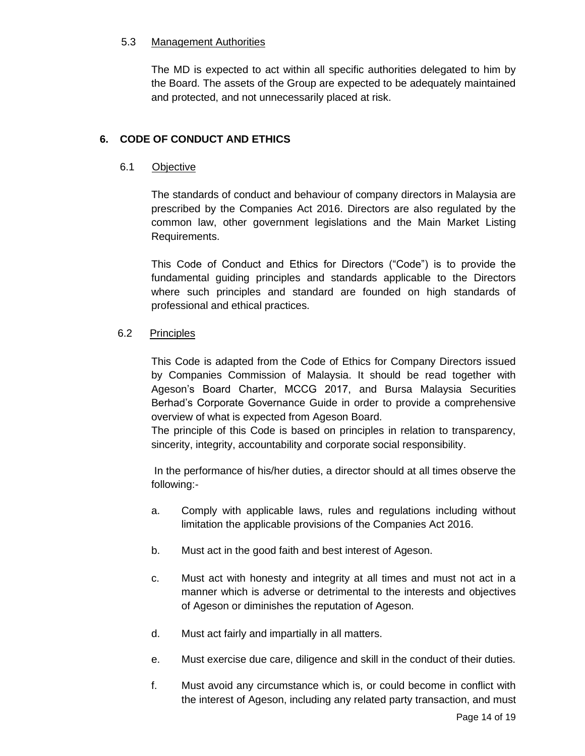#### 5.3 Management Authorities

The MD is expected to act within all specific authorities delegated to him by the Board. The assets of the Group are expected to be adequately maintained and protected, and not unnecessarily placed at risk.

## **6. CODE OF CONDUCT AND ETHICS**

#### 6.1 Objective

The standards of conduct and behaviour of company directors in Malaysia are prescribed by the Companies Act 2016. Directors are also regulated by the common law, other government legislations and the Main Market Listing Requirements.

This Code of Conduct and Ethics for Directors ("Code") is to provide the fundamental guiding principles and standards applicable to the Directors where such principles and standard are founded on high standards of professional and ethical practices.

#### 6.2 Principles

This Code is adapted from the Code of Ethics for Company Directors issued by Companies Commission of Malaysia. It should be read together with Ageson's Board Charter, MCCG 2017, and Bursa Malaysia Securities Berhad's Corporate Governance Guide in order to provide a comprehensive overview of what is expected from Ageson Board.

The principle of this Code is based on principles in relation to transparency, sincerity, integrity, accountability and corporate social responsibility.

In the performance of his/her duties, a director should at all times observe the following:-

- a. Comply with applicable laws, rules and regulations including without limitation the applicable provisions of the Companies Act 2016.
- b. Must act in the good faith and best interest of Ageson.
- c. Must act with honesty and integrity at all times and must not act in a manner which is adverse or detrimental to the interests and objectives of Ageson or diminishes the reputation of Ageson.
- d. Must act fairly and impartially in all matters.
- e. Must exercise due care, diligence and skill in the conduct of their duties.
- f. Must avoid any circumstance which is, or could become in conflict with the interest of Ageson, including any related party transaction, and must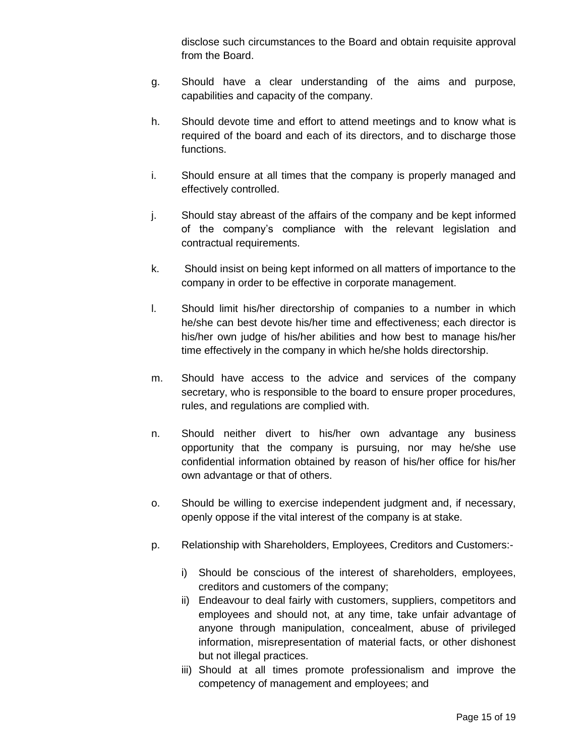disclose such circumstances to the Board and obtain requisite approval from the Board.

- g. Should have a clear understanding of the aims and purpose, capabilities and capacity of the company.
- h. Should devote time and effort to attend meetings and to know what is required of the board and each of its directors, and to discharge those functions.
- i. Should ensure at all times that the company is properly managed and effectively controlled.
- j. Should stay abreast of the affairs of the company and be kept informed of the company's compliance with the relevant legislation and contractual requirements.
- k. Should insist on being kept informed on all matters of importance to the company in order to be effective in corporate management.
- l. Should limit his/her directorship of companies to a number in which he/she can best devote his/her time and effectiveness; each director is his/her own judge of his/her abilities and how best to manage his/her time effectively in the company in which he/she holds directorship.
- m. Should have access to the advice and services of the company secretary, who is responsible to the board to ensure proper procedures, rules, and regulations are complied with.
- n. Should neither divert to his/her own advantage any business opportunity that the company is pursuing, nor may he/she use confidential information obtained by reason of his/her office for his/her own advantage or that of others.
- o. Should be willing to exercise independent judgment and, if necessary, openly oppose if the vital interest of the company is at stake.
- p. Relationship with Shareholders, Employees, Creditors and Customers:
	- i) Should be conscious of the interest of shareholders, employees, creditors and customers of the company;
	- ii) Endeavour to deal fairly with customers, suppliers, competitors and employees and should not, at any time, take unfair advantage of anyone through manipulation, concealment, abuse of privileged information, misrepresentation of material facts, or other dishonest but not illegal practices.
	- iii) Should at all times promote professionalism and improve the competency of management and employees; and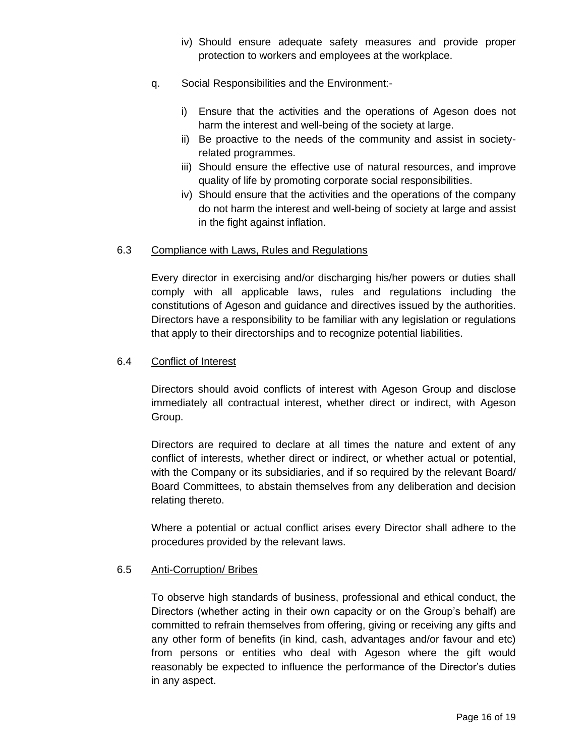- iv) Should ensure adequate safety measures and provide proper protection to workers and employees at the workplace.
- q. Social Responsibilities and the Environment:
	- i) Ensure that the activities and the operations of Ageson does not harm the interest and well-being of the society at large.
	- ii) Be proactive to the needs of the community and assist in societyrelated programmes.
	- iii) Should ensure the effective use of natural resources, and improve quality of life by promoting corporate social responsibilities.
	- iv) Should ensure that the activities and the operations of the company do not harm the interest and well-being of society at large and assist in the fight against inflation.

#### 6.3 Compliance with Laws, Rules and Regulations

Every director in exercising and/or discharging his/her powers or duties shall comply with all applicable laws, rules and regulations including the constitutions of Ageson and guidance and directives issued by the authorities. Directors have a responsibility to be familiar with any legislation or regulations that apply to their directorships and to recognize potential liabilities.

#### 6.4 Conflict of Interest

Directors should avoid conflicts of interest with Ageson Group and disclose immediately all contractual interest, whether direct or indirect, with Ageson Group.

Directors are required to declare at all times the nature and extent of any conflict of interests, whether direct or indirect, or whether actual or potential, with the Company or its subsidiaries, and if so required by the relevant Board/ Board Committees, to abstain themselves from any deliberation and decision relating thereto.

Where a potential or actual conflict arises every Director shall adhere to the procedures provided by the relevant laws.

#### 6.5 Anti-Corruption/ Bribes

To observe high standards of business, professional and ethical conduct, the Directors (whether acting in their own capacity or on the Group's behalf) are committed to refrain themselves from offering, giving or receiving any gifts and any other form of benefits (in kind, cash, advantages and/or favour and etc) from persons or entities who deal with Ageson where the gift would reasonably be expected to influence the performance of the Director's duties in any aspect.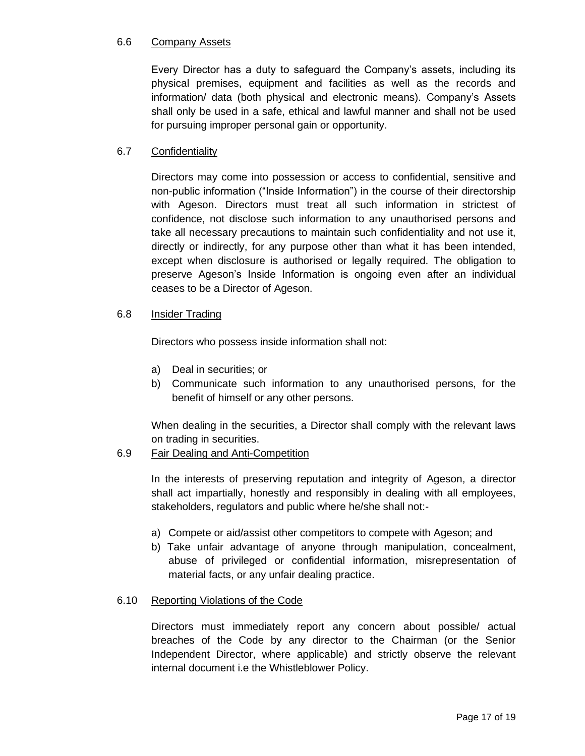#### 6.6 Company Assets

Every Director has a duty to safeguard the Company's assets, including its physical premises, equipment and facilities as well as the records and information/ data (both physical and electronic means). Company's Assets shall only be used in a safe, ethical and lawful manner and shall not be used for pursuing improper personal gain or opportunity.

#### 6.7 Confidentiality

Directors may come into possession or access to confidential, sensitive and non-public information ("Inside Information") in the course of their directorship with Ageson. Directors must treat all such information in strictest of confidence, not disclose such information to any unauthorised persons and take all necessary precautions to maintain such confidentiality and not use it, directly or indirectly, for any purpose other than what it has been intended, except when disclosure is authorised or legally required. The obligation to preserve Ageson's Inside Information is ongoing even after an individual ceases to be a Director of Ageson.

#### 6.8 Insider Trading

Directors who possess inside information shall not:

- a) Deal in securities; or
- b) Communicate such information to any unauthorised persons, for the benefit of himself or any other persons.

When dealing in the securities, a Director shall comply with the relevant laws on trading in securities.

#### 6.9 Fair Dealing and Anti-Competition

In the interests of preserving reputation and integrity of Ageson, a director shall act impartially, honestly and responsibly in dealing with all employees, stakeholders, regulators and public where he/she shall not:-

- a) Compete or aid/assist other competitors to compete with Ageson; and
- b) Take unfair advantage of anyone through manipulation, concealment, abuse of privileged or confidential information, misrepresentation of material facts, or any unfair dealing practice.

#### 6.10 Reporting Violations of the Code

Directors must immediately report any concern about possible/ actual breaches of the Code by any director to the Chairman (or the Senior Independent Director, where applicable) and strictly observe the relevant internal document i.e the Whistleblower Policy.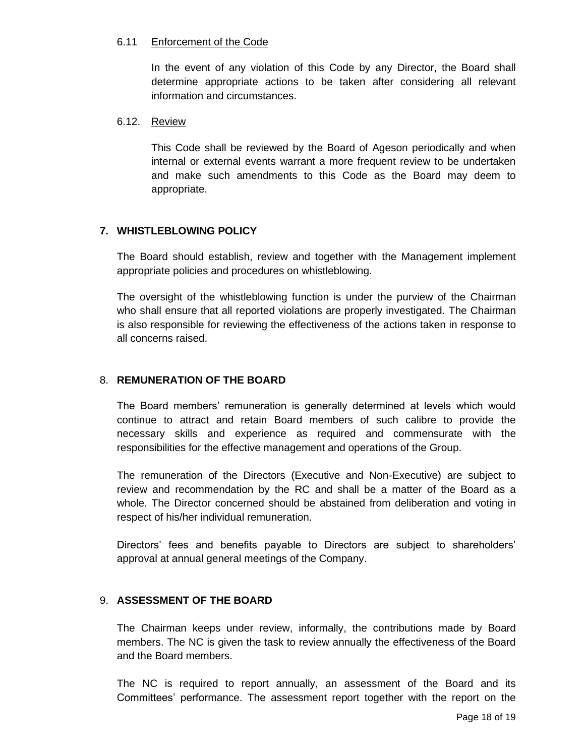#### 6.11 Enforcement of the Code

In the event of any violation of this Code by any Director, the Board shall determine appropriate actions to be taken after considering all relevant information and circumstances.

#### 6.12. Review

This Code shall be reviewed by the Board of Ageson periodically and when internal or external events warrant a more frequent review to be undertaken and make such amendments to this Code as the Board may deem to appropriate.

#### **7. WHISTLEBLOWING POLICY**

The Board should establish, review and together with the Management implement appropriate policies and procedures on whistleblowing.

The oversight of the whistleblowing function is under the purview of the Chairman who shall ensure that all reported violations are properly investigated. The Chairman is also responsible for reviewing the effectiveness of the actions taken in response to all concerns raised.

#### 8. **REMUNERATION OF THE BOARD**

The Board members' remuneration is generally determined at levels which would continue to attract and retain Board members of such calibre to provide the necessary skills and experience as required and commensurate with the responsibilities for the effective management and operations of the Group.

The remuneration of the Directors (Executive and Non-Executive) are subject to review and recommendation by the RC and shall be a matter of the Board as a whole. The Director concerned should be abstained from deliberation and voting in respect of his/her individual remuneration.

Directors' fees and benefits payable to Directors are subject to shareholders' approval at annual general meetings of the Company.

#### 9. **ASSESSMENT OF THE BOARD**

The Chairman keeps under review, informally, the contributions made by Board members. The NC is given the task to review annually the effectiveness of the Board and the Board members.

The NC is required to report annually, an assessment of the Board and its Committees' performance. The assessment report together with the report on the